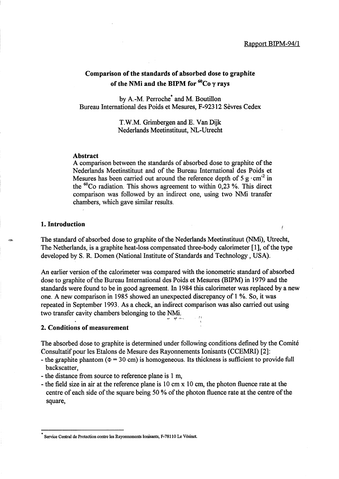# Comparison of the standards of absorbed dose to graphite of the NMi and the BIPM for  $^{60}Co$  y rays

by A.-M. Perroche\* and M. Boutillon Bureau International des Poids et Mesures, F-92312 Sevres Cedex

> T.W.M. Grimbergen and E. Van Dijk Nederlands Meetinstituut, NL-Utrecht

#### Abstract

A comparison between the standards of absorbed dose to graphite of the Nederlands Meetinstituut and of the Bureau International des Poids et Mesures has been carried out around the reference depth of 5 g $\cdot$ cm<sup>-2</sup> in the <sup>60</sup>Co radiation. This shows agreement to within 0,23 %. This direct comparison was followed by an indirect one, using two NMi transfer chambers, which gave similar results.

## 1. Introduction

The standard of absorbed dose to graphite of the Nederlands Meetinstituut (NMi), Utrecht, The Netherlands, is a graphite heat-loss compensated three-body calorimeter [1], of the type developed by S. R. Domen (National Institute of Standards and Technology, USA).

An earlier version of the calorimeter was compared with the ionometric standard of absorbed dose to graphite of the Bureau International des Poids et Mesures (BIPM) in 1979 and the standards were found to be in good agreement. In 1984 this calorimeter was replaced by a new one. A new comparison in 1985 showed an unexpected discrepancy of 1 %. So, it was repeated in September 1993. As a check, an indirect comparison was also carried out using two transfer cavity chambers belonging to the NMi. *-.1* ~,. ,\_,\_\ ,;1 <sup>i</sup>

## 2. Conditions of measurement

The absorbed dose to graphite is determined under following conditions defined by the Comite Consultatif pour les Etalons de Mesure des Rayonnements Ionisants (CCEMRI) [2]:

- the graphite phantom ( $\Phi$  = 30 cm) is homogeneous. Its thickness is sufficient to provide full backscatter,
- the distance from source to reference plane is 1 m,
- the field size in air at the reference plane is 10 cm x 10 cm, the photon fluence rate at the centre of each side of the square being 50 % of the photon fluence rate at the centre of the square,

Service Central de Protection contre les Rayonnements Ionisants, F-78110 Le Vésinet.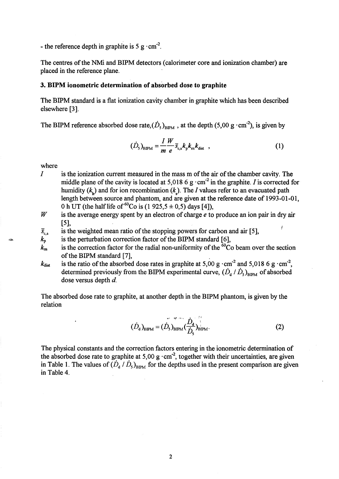- the reference depth in graphite is 5 g  $\cdot$  cm<sup>-2</sup>.

The centres of the NMi and BIPM detectors (calorimeter core and ionization chamber) are placed in the reference plane.

## 3. BIPM ionometric determination of absorbed dose to graphite

The BIPM standard is a flat ionization cavity chamber in graphite which has been described elsewhere [3].

The BIPM reference absorbed dose rate,  $(\dot{D}_s)_{\text{BPM}}$ , at the depth (5,00 g·cm<sup>-2</sup>), is given by

$$
(\dot{D}_s)_{\text{BIPM}} = \frac{I}{m} \frac{W}{e} \overline{s}_{\text{c,a}} k_p k_m k_{\text{dist}} \quad , \tag{1}
$$

where

- I is the ionization current measured in the mass m of the air of the chamber cavity. The middle plane of the cavity is located at 5,018 6 g $\cdot$ cm<sup>-2</sup> in the graphite. *I* is corrected for humidity  $(k<sub>h</sub>)$  and for ion recombination  $(k<sub>s</sub>)$ . The *I* values refer to an evacuated path length between source and phantom, and are given at the reference date of 1993-01-01, 0 h UT (the half life of  ${}^{60}Co$  is (1 925,5 ± 0,5) days [4]),
- *w*  is the average energy spent by an electron of charge *e* to produce an ion pair in dry air [5],
- is the weighted mean ratio of the stopping powers for carbon and air [5],  $\overline{S}_{c,a}$
- is the perturbation correction factor of the BIPM standard [6],  $k_{\rm p}$
- is the correction factor for the radial non-uniformity of the  ${}^{60}$ Co beam over the section  $k_{\rm m}$ of the BIPM standard [7], .
- is the ratio of the absorbed dose rates in graphite at 5,00 g $\cdot$ cm<sup>-2</sup> and 5,018 6 g $\cdot$ cm<sup>-2</sup>,  $k_{\rm dist}$ determined previously from the BIPM experimental curve,  $(\dot{D}_d / \dot{D}_s)_{BIPM}$  of absorbed dose versus depth *d.*

The absorbed dose rate to graphite, at another depth in the BIPM phantom, is given by the relation

$$
(\dot{D}_{\rm d})_{\rm BIPM} = (\dot{D}_{\rm s})_{\rm BIPM} \left(\frac{\dot{D}_{\rm d}}{\dot{D}_{\rm s}}\right)_{\rm BIPM}^{\rm {1.}}.
$$
 (2)

The physical constants and the correction factors entering in the ionometric determination of the absorbed dose rate to graphite at 5,00 g  $\cdot$  cm<sup>-2</sup>, together with their uncertainties, are given in Table 1. The values of  $(D_d / D_s)_{\text{BIPM}}$  for the depths used in the present comparison are given in Table 4.

2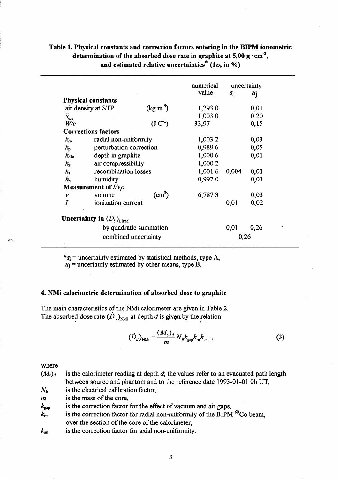# Table 1. Physical constants and correction factors entering in the BIPM ionometric determination of the absorbed dose rate in graphite at 5,00 g $\cdot$ cm<sup>-2</sup>, and estimated relative uncertainties<sup>\*</sup> (1 $\sigma$ , in %)

|                      |                                   |                               | numerical | uncertainty |                  |  |
|----------------------|-----------------------------------|-------------------------------|-----------|-------------|------------------|--|
|                      |                                   |                               | value     |             |                  |  |
|                      | <b>Physical constants</b>         |                               |           | $S_i$       | $u_{\mathbf{i}}$ |  |
|                      |                                   | $(\text{kg m}^3)$             |           |             |                  |  |
|                      | air density at STP                |                               | 1,293 0   |             | 0,01             |  |
| $\overline{S}_{c,a}$ |                                   |                               | 1,003 0   |             | 0,20             |  |
| W/e                  |                                   | $(\text{J} \, \text{C}^{-1})$ | 33,97     |             | 0,15             |  |
|                      | <b>Corrections factors</b>        |                               |           |             |                  |  |
| $k_{\rm m}$          | radial non-uniformity             |                               | 1,003 2   |             | 0,03             |  |
| $k_{\rm p}$          | perturbation correction           |                               | 0,9896    |             | 0,05             |  |
| $k_{\rm dist}$       | depth in graphite                 |                               | 1,000 6   |             | 0,01             |  |
| $k_{\rm z}$          | air compressibility               |                               | 1,000 2   |             |                  |  |
| $k_{\rm s}$          | recombination losses              |                               | 1,0016    | 0,004       | 0,01             |  |
| $k_{\rm h}$          | humidity                          |                               | 0,9970    |             | 0,03             |  |
|                      | <b>Measurement of</b> $I/\nu\rho$ |                               |           |             |                  |  |
| v                    | volume                            | (cm <sup>3</sup> )            | 6,7873    |             | 0,03             |  |
|                      | ionization current                |                               |           | 0,01        | 0,02             |  |
|                      | Uncertainty in $(D_5)_{BPM}$      |                               |           |             |                  |  |
|                      |                                   | by quadratic summation        |           | 0,01        | 0,26             |  |
|                      |                                   | combined uncertainty          |           | 0,26        |                  |  |

 $*_s_i$  = uncertainty estimated by statistical methods, type A,

 $u_j$  = uncertainty estimated by other means, type B.

## 4. NMi calorimetric determination of absorbed dose to graphite

The main characteristics of the NMi calorimeter are given in Table 2. The absorbed dose rate  $(D_x)_{N\text{M}i}$  at depth d is given by the relation

$$
(\dot{D}_d)_{NMi} = \frac{(M_c)_d}{m} N_E k_{\rm gap} k_m k_m \t\t(3)
$$

where

,~

| $(M_{c})_{d}$ | is the calorimeter reading at depth $d$ ; the values refer to an evacuated path length |
|---------------|----------------------------------------------------------------------------------------|
|               | between source and phantom and to the reference date 1993-01-01 0h UT,                 |

 $N_{\rm E}$ is the electrical calibration factor,

is the mass of the core,  $\boldsymbol{m}$ 

is the correction factor for the effect of vacuum and air gaps,  $k_{\rm gap}$ 

is the correction factor for radial non-uniformity of the BIPM  $^{60}$ Co beam,  $k_{\rm m}$ over the section of the core of the calorimeter,

is the correction factor for axial non-uniformity.  $k_{\rm an}$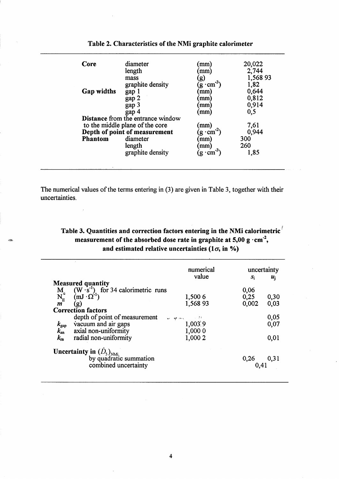| Core                          | diameter                                 | (mm)                              | 20,022   |
|-------------------------------|------------------------------------------|-----------------------------------|----------|
|                               | length                                   | (mm)                              | 2,744    |
|                               | mass                                     | $\bf g)$                          | 1,568 93 |
|                               | graphite density                         | $(g \cdot cm^{-3})$               | 1,82     |
| Gap widths                    | gap 1                                    | mm)                               | 0,644    |
|                               | gap 2                                    | mm)                               | 0,812    |
|                               | gap 3                                    | $\mathbf{mm}$                     | 0,914    |
|                               | gap 4                                    | $\mathbf{m}\mathbf{m}$            | 0,5      |
|                               | <b>Distance from the entrance window</b> |                                   |          |
|                               | to the middle plane of the core          | (mm)                              | 7,61     |
| Depth of point of measurement |                                          | $(g \cdot cm^{-2})$               | 0,944    |
| <b>Phantom</b>                | diameter                                 | mm)                               | 300      |
|                               | length                                   | $\pmb{\pmod{m}}$                  | 260      |
|                               | graphite density                         | $\mathrm{g}\cdot\mathrm{cm}^{-3}$ | 1,85     |
|                               |                                          |                                   |          |

# Table 2. Characteristics of the NMi graphite calorimeter

The numerical values of the terms entering in (3) are given in Table 3, together with their uncertainties.

Table 3. Quantities and correction factors entering in the NMi calorimetric  $\ell$ measurement of the absorbed dose rate in graphite at 5,00 g  $\cdot$  cm<sup>-2</sup>, and estimated relative uncertainties (1 $\sigma$ , in %)

|             | numerical                                                                                                                  |                           | uncertainty |             |  |
|-------------|----------------------------------------------------------------------------------------------------------------------------|---------------------------|-------------|-------------|--|
|             |                                                                                                                            | value                     | $S_i$       | $u_{\rm i}$ |  |
|             | <b>Measured quantity</b>                                                                                                   |                           |             |             |  |
|             |                                                                                                                            |                           | 0,06        |             |  |
|             |                                                                                                                            | 1,500 6                   | 0,25        | 0,30        |  |
|             | M <sub>e</sub> (W s <sup>-1</sup> ) for 34 calorimetric runs<br>$N_E^e$ (mJ · $\Omega^{-1}$ )<br>m <sup>e</sup> (g)<br>(g) | 1,568 93                  | 0,002       | 0,03        |  |
|             | <b>Correction factors</b>                                                                                                  |                           |             |             |  |
|             | depth of point of measurement                                                                                              | and off more and the P.F. |             | 0,05        |  |
|             | vacuum and air gaps                                                                                                        | 1,003.9                   |             | 0,07        |  |
|             | $k_{\text{gap}}$ vacuum and air gaps<br>$k_{\text{an}}$ axial non-uniformity                                               | 1,000 0                   |             |             |  |
| $k_{\rm m}$ | radial non-uniformity                                                                                                      | 1,000 2                   |             | 0,01        |  |
|             | <b>Uncertainty in</b> $(D_5)_{NMi}$                                                                                        |                           |             |             |  |
|             | by quadratic summation                                                                                                     |                           | 0,26        | 0,31        |  |
|             | combined uncertainty                                                                                                       |                           | 0.41        |             |  |
|             |                                                                                                                            |                           |             |             |  |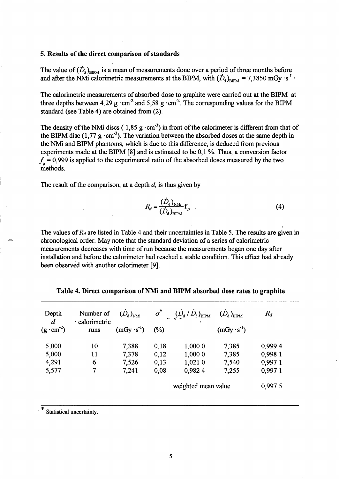## 5. Results of the direct comparison of standards

The value of  $(\dot{D}_s)_{BPM}$  is a mean of measurements done over a period of three months before and after the NMi calorimetric measurements at the BIPM, with  $(\dot{D}_s)_{\text{BIPM}} = 7,3850 \text{ mGy} \cdot \text{s}^{-1}$ .

The calorimetric measurements of absorbed dose to graphite were carried out at the BIPM at three depths between 4,29 g  $\cdot$  cm<sup>-2</sup> and 5,58 g  $\cdot$  cm<sup>-2</sup>. The corresponding values for the BIPM standard (see Table 4) are obtained from (2).

The density of the NMi discs ( $1,85 \text{ g} \cdot \text{cm}^3$ ) in front of the calorimeter is different from that of the BIPM disc  $(1, 77 \text{ g} \cdot \text{cm}^3)$ . The variation between the absorbed doses at the same depth in the NMi and BIPM phantoms, which is due to this difference, is deduced from previous experiments made at the BIPM [8] and is estimated to be 0,1 %. Thus, a conversion factor  $f_{\rho} = 0.999$  is applied to the experimental ratio of the absorbed doses measured by the two methods.

The result of the comparison, at a depth  $d$ , is thus given by

$$
R_d = \frac{(D_d)_{N\text{M}}}{(\dot{D}_d)_{B\text{FPM}}} \mathbf{f}_{\rho} \quad . \tag{4}
$$

The values of  $R_d$  are listed in Table 4 and their uncertainties in Table 5. The results are given in chronological order. May note that the standard deviation of a series of calorimetric measurements decreases with time of run because the measurements began one day after installation and before the calorimeter had reached a stable condition. This effect had already been observed with another calorimeter [9].

| Depth                                   | Number of<br>· calorimetric | $(D_d)_{N\!M\!i}$    | $\sigma^*$ | $(D_{\rm d}\mathbin{/}\dot{D}_{\rm 5})_{\rm BIPM}$ | $(D_d)_{BIPM}$       | $R_d$   |
|-----------------------------------------|-----------------------------|----------------------|------------|----------------------------------------------------|----------------------|---------|
| $\boldsymbol{d}$<br>$(g \cdot cm^{-2})$ | runs                        | $(mGy \cdot s^{-1})$ | (%)        |                                                    | $(mGy \cdot s^{-1})$ |         |
| 5,000                                   | 10                          | 7,388                | 0,18       | 1,000 0                                            | 7,385                | 0,9994  |
| 5,000                                   | 11                          | 7,378                | 0,12       | 1,000 0                                            | 7,385                | 0,998 1 |
| 4,291                                   | 6                           | 7,526                | 0,13       | 1,021 0                                            | 7,540                | 0,997 1 |
| 5,577                                   | 7                           | 7,241                | 0,08       | 0,9824                                             | 7,255                | 0,9971  |
|                                         |                             |                      |            | weighted mean value                                |                      | 0,997 5 |

Table 4. Direct comparison of NMi and BIPM absorbed dose rates to graphite

Statistical uncertainty.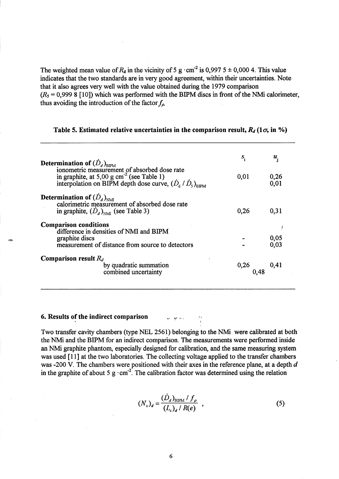The weighted mean value of  $R_d$  in the vicinity of 5 g  $\cdot$  cm<sup>-2</sup> is 0,997 5  $\pm$  0,000 4. This value indicates that the two standards are in very good agreement, within their uncertainties. Note that it also agrees very well with the value obtained during the 1979 comparison  $(R_5 = 0,9998$  [10]) which was performed with the BIPM discs in front of the NMi calorimeter, thus avoiding the introduction of the factor  $f_{\rho}$ .

|                                                                                                                                                                                                              | $S_i$          | $\pmb{u}_{:}$    |
|--------------------------------------------------------------------------------------------------------------------------------------------------------------------------------------------------------------|----------------|------------------|
| <b>Determination of</b> $(D_d)_{BPM}$<br>ionometric measurement of absorbed dose rate<br>in graphite, at 5,00 g cm <sup>-2</sup> (see Table 1)<br>interpolation on BIPM depth dose curve, $(D_a/D_s)_{RIPM}$ | 0,01           | $0,26$<br>$0,01$ |
| <b>Determination of</b> $(D_a)_{N\!M}$<br>calorimetric measurement of absorbed dose rate<br>in graphite, $(D_d)_{N\text{M}}$ (see Table 3)                                                                   | 0,26           | 0,31             |
| <b>Comparison conditions</b><br>difference in densities of NMI and BIPM<br>graphite discs<br>measurement of distance from source to detectors                                                                |                | 0,05<br>0.03     |
| <b>Comparison result</b> $R_d$<br>by quadratic summation<br>combined uncertainty                                                                                                                             | $0,26$<br>0,48 | 0,41             |

## Table 5. Estimated relative uncertainties in the comparison result,  $R_d$  (1 $\sigma$ , in %)

## 6. Results of the indirect comparison

Two transfer cavity chambers (type NEL 2561) belonging to the NMi were calibrated at both the NMi and the BIPM for an indirect comparison. The measurements were performed inside an NMi graphite phantom, especially designed for calibration, and the same measuring system was used [11] at the two laboratories. The collecting voltage applied to the transfer chambers was -200 V. The chambers were positioned with their axes in the reference plane, at a depth *d*  in the graphite of about 5 g $\cdot$  cm<sup>-2</sup>. The calibration factor was determined using the relation

$$
(N_c)_d = \frac{(D_d)_{\text{BPM}} / f_{\rho}}{(L_c)_d / R(e)} \quad , \tag{5}
$$

6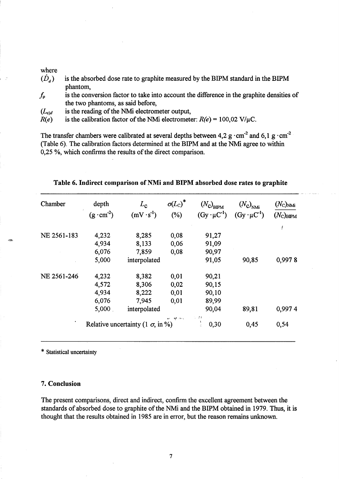#### where

-

- $(D_a)$ is the absorbed dose rate to graphite measured by the BIPM standard in the BIPM phantom,
- $f_{\rho}$ is the conversion factor to take into account the difference in the graphite densities of the two phantoms, as said before,
- $(L_{c)d}$ is the reading of the NMi electrometer output,
- $R(e)$ is the calibration factor of the NMi electrometer:  $R(e) = 100,02$  V/ $\mu$ C.

The transfer chambers were calibrated at several depths between 4,2 g $\cdot$ cm<sup>-2</sup> and 6,1 g $\cdot$ cm<sup>-2</sup> (Table 6). The calibration factors determined at the BIPM and at the NMi agree to within 0,25 %, which confirms the results of the direct comparison.

| Chamber                                                     | depth               | $L_{\mathbf{c}}$    | $\sigma(L_C)^*$ | $(N_{\rm C})_{\rm BIPM}$ | $(N_{\rm C})_{\rm NMi}$ | $(N_{\rm C})_{\rm NMi}$ |
|-------------------------------------------------------------|---------------------|---------------------|-----------------|--------------------------|-------------------------|-------------------------|
|                                                             | $(g \cdot cm^{-2})$ | $(mV \cdot s^{-1})$ | (%)             | $(Gy \cdot \mu C^{-1})$  | $(Gy \cdot \mu C^{-1})$ | $(N_c)_{\rm BIPM}$      |
|                                                             |                     |                     |                 |                          |                         |                         |
| NE 2561-183                                                 | 4,232               | 8,285               | 0,08            | 91,27                    |                         |                         |
|                                                             | 4,934               | 8,133               | 0,06            | 91,09                    |                         |                         |
|                                                             | 6,076               | 7,859               | 0,08            | 90,97                    |                         |                         |
|                                                             | 5,000               | interpolated        |                 | 91,05                    | 90,85                   | 0,9978                  |
| NE 2561-246                                                 | 4,232               | 8,382               | 0,01            | 90,21                    |                         |                         |
|                                                             | 4,572               | 8,306               | 0,02            | 90,15                    |                         |                         |
|                                                             | 4,934               | 8,222               | 0,01            | 90,10                    |                         |                         |
|                                                             | 6,076               | 7,945               | 0,01            | 89,99                    |                         |                         |
|                                                             | 5,000               | interpolated        |                 | 90,04                    | 89,81                   | 0,9974                  |
| <b>AP</b> Inc.,<br>Relative uncertainty (1 $\sigma$ , in %) |                     |                     |                 | 22. 清末<br>0,30<br>÷      | 0,45                    | 0,54                    |

Table 6. Indirect comparison of NMi and BIPM absorbed dose rates to graphite

\* Statistical uncertainty

#### 7. Conclusion

The present comparisons, direct and indirect, confirm the excellent agreement between the standards of absorbed dose to graphite of the NMi and the BIPM obtained in 1979. Thus, it is thought that the results obtained in 1985 are in error, but the reason remains unknown.